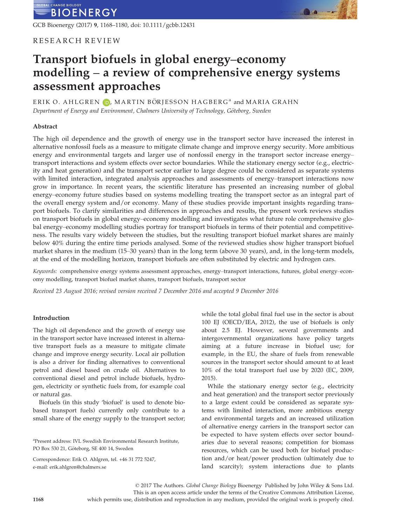GCB Bioenergy (2017) 9, 1168–1180, doi: 10.1111/gcbb.12431

# RESEARCH REVIEW

# Transport biofuels in global energy–economy modelling – a review of comprehensive energy systems assessment approaches

ERIK O. AHLGREN D, MARTIN BÖRJESSON HAGBERG<sup>a</sup> and MARIA GRAHN Department of Energy and Environment, Chalmers University of Technology, Göteborg, Sweden

### Abstract

The high oil dependence and the growth of energy use in the transport sector have increased the interest in alternative nonfossil fuels as a measure to mitigate climate change and improve energy security. More ambitious energy and environmental targets and larger use of nonfossil energy in the transport sector increase energy– transport interactions and system effects over sector boundaries. While the stationary energy sector (e.g., electricity and heat generation) and the transport sector earlier to large degree could be considered as separate systems with limited interaction, integrated analysis approaches and assessments of energy–transport interactions now grow in importance. In recent years, the scientific literature has presented an increasing number of global energy–economy future studies based on systems modelling treating the transport sector as an integral part of the overall energy system and/or economy. Many of these studies provide important insights regarding transport biofuels. To clarify similarities and differences in approaches and results, the present work reviews studies on transport biofuels in global energy–economy modelling and investigates what future role comprehensive global energy–economy modelling studies portray for transport biofuels in terms of their potential and competitiveness. The results vary widely between the studies, but the resulting transport biofuel market shares are mainly below 40% during the entire time periods analysed. Some of the reviewed studies show higher transport biofuel market shares in the medium (15–30 years) than in the long term (above 30 years), and, in the long-term models, at the end of the modelling horizon, transport biofuels are often substituted by electric and hydrogen cars.

Keywords: comprehensive energy systems assessment approaches, energy–transport interactions, futures, global energy–economy modelling, transport biofuel market shares, transport biofuels, transport sector

Received 23 August 2016; revised version received 7 December 2016 and accepted 9 December 2016

### Introduction

The high oil dependence and the growth of energy use in the transport sector have increased interest in alternative transport fuels as a measure to mitigate climate change and improve energy security. Local air pollution is also a driver for finding alternatives to conventional petrol and diesel based on crude oil. Alternatives to conventional diesel and petrol include biofuels, hydrogen, electricity or synthetic fuels from, for example coal or natural gas.

Biofuels (in this study 'biofuel' is used to denote biobased transport fuels) currently only contribute to a small share of the energy supply to the transport sector;

a Present address: IVL Swedish Environmental Research Institute, PO Box 530 21, Göteborg, SE 400 14, Sweden

Correspondence: Erik O. Ahlgren, tel. +46 31 772 5247, e-mail: erik.ahlgren@chalmers.se

while the total global final fuel use in the sector is about 100 EJ (OECD/IEA, 2012), the use of biofuels is only about 2.5 EJ. However, several governments and intergovernmental organizations have policy targets aiming at a future increase in biofuel use; for example, in the EU, the share of fuels from renewable sources in the transport sector should amount to at least 10% of the total transport fuel use by 2020 (EC, 2009, 2015).

While the stationary energy sector (e.g., electricity and heat generation) and the transport sector previously to a large extent could be considered as separate systems with limited interaction, more ambitious energy and environmental targets and an increased utilization of alternative energy carriers in the transport sector can be expected to have system effects over sector boundaries due to several reasons; competition for biomass resources, which can be used both for biofuel production and/or heat/power production (ultimately due to land scarcity); system interactions due to plants

© 2017 The Authors. Global Change Biology Bioenergy Published by John Wiley & Sons Ltd. This is an open access article under the terms of the [Creative Commons Attribution](http://creativecommons.org/licenses/by/4.0/) License, 1168 which permits use, distribution and reproduction in any medium, provided the original work is properly cited.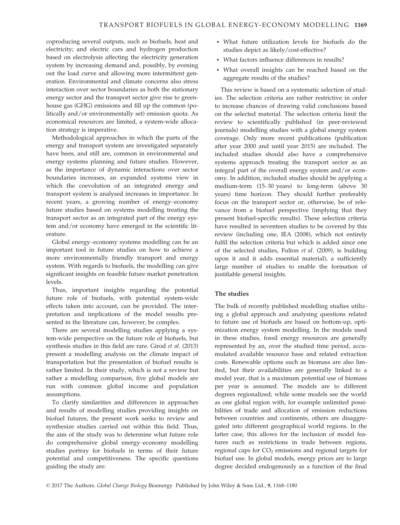coproducing several outputs, such as biofuels, heat and electricity; and electric cars and hydrogen production based on electrolysis affecting the electricity generation system by increasing demand and, possibly, by evening out the load curve and allowing more intermittent generation. Environmental and climate concerns also stress interaction over sector boundaries as both the stationary energy sector and the transport sector give rise to greenhouse gas (GHG) emissions and fill up the common (politically and/or environmentally set) emission quota. As economical resources are limited, a system-wide allocation strategy is imperative.

Methodological approaches in which the parts of the energy and transport system are investigated separately have been, and still are, common in environmental and energy systems planning and future studies. However, as the importance of dynamic interactions over sector boundaries increases, an expanded systems view in which the coevolution of an integrated energy and transport system is analysed increases in importance. In recent years, a growing number of energy–economy future studies based on systems modelling treating the transport sector as an integrated part of the energy system and/or economy have emerged in the scientific literature.

Global energy–economy systems modelling can be an important tool in future studies on how to achieve a more environmentally friendly transport and energy system. With regards to biofuels, the modelling can give significant insights on feasible future market penetration levels.

Thus, important insights regarding the potential future role of biofuels, with potential system-wide effects taken into account, can be provided. The interpretation and implications of the model results presented in the literature can, however, be complex.

There are several modelling studies applying a system-wide perspective on the future role of biofuels, but synthesis studies in this field are rare. Girod et al. (2013) present a modelling analysis on the climate impact of transportation but the presentation of biofuel results is rather limited. In their study, which is not a review but rather a modelling comparison, five global models are run with common global income and population assumptions.

To clarify similarities and differences in approaches and results of modelling studies providing insights on biofuel futures, the present work seeks to review and synthesize studies carried out within this field. Thus, the aim of the study was to determine what future role do comprehensive global energy–economy modelling studies portray for biofuels in terms of their future potential and competitiveness. The specific questions guiding the study are:

- What future utilization levels for biofuels do the studies depict as likely/cost-effective?
- What factors influence differences in results?
- What overall insights can be reached based on the aggregate results of the studies?

This review is based on a systematic selection of studies. The selection criteria are rather restrictive in order to increase chances of drawing valid conclusions based on the selected material. The selection criteria limit the review to scientifically published (in peer-reviewed journals) modelling studies with a global energy system coverage. Only more recent publications (publication after year 2000 and until year 2015) are included. The included studies should also have a comprehensive systems approach treating the transport sector as an integral part of the overall energy system and/or economy. In addition, included studies should be applying a medium-term (15–30 years) to long-term (above 30 years) time horizon. They should further preferably focus on the transport sector or, otherwise, be of relevance from a biofuel perspective (implying that they present biofuel-specific results). These selection criteria have resulted in seventeen studies to be covered by this review (including one, IEA (2008), which not entirely fulfil the selection criteria but which is added since one of the selected studies, Fulton et al. (2009), is building upon it and it adds essential material), a sufficiently large number of studies to enable the formation of justifiable general insights.

### The studies

The bulk of recently published modelling studies utilizing a global approach and analysing questions related to future use of biofuels are based on bottom-up, optimization energy system modelling. In the models used in these studies, fossil energy resources are generally represented by an, over the studied time period, accumulated available resource base and related extraction costs. Renewable options such as biomass are also limited, but their availabilities are generally linked to a model year, that is a maximum potential use of biomass per year is assumed. The models are to different degrees regionalized; while some models see the world as one global region with, for example unlimited possibilities of trade and allocation of emission reductions between countries and continents, others are disaggregated into different geographical world regions. In the latter case, this allows for the inclusion of model features such as restrictions in trade between regions, regional caps for  $CO<sub>2</sub>$  emissions and regional targets for biofuel use. In global models, energy prices are to large degree decided endogenously as a function of the final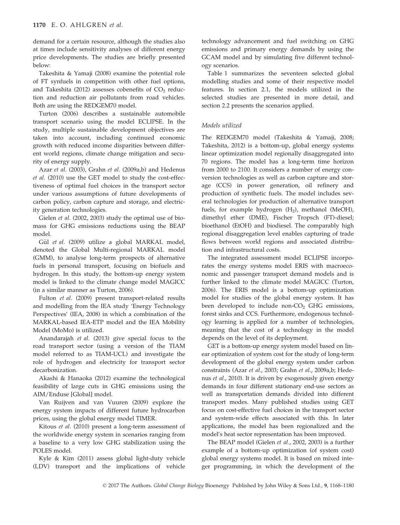demand for a certain resource, although the studies also at times include sensitivity analyses of different energy price developments. The studies are briefly presented below:

Takeshita & Yamaji (2008) examine the potential role of FT synfuels in competition with other fuel options, and Takeshita (2012) assesses cobenefits of  $CO<sub>2</sub>$  reduction and reduction air pollutants from road vehicles. Both are using the REDGEM70 model.

Turton (2006) describes a sustainable automobile transport scenario using the model ECLIPSE. In the study, multiple sustainable development objectives are taken into account, including continued economic growth with reduced income disparities between different world regions, climate change mitigation and security of energy supply.

Azar et al. (2003), Grahn et al. (2009a,b) and Hedenus et al. (2010) use the GET model to study the cost-effectiveness of optimal fuel choices in the transport sector under various assumptions of future developments of carbon policy, carbon capture and storage, and electricity generation technologies.

Gielen et al. (2002, 2003) study the optimal use of biomass for GHG emissions reductions using the BEAP model.

Gül et al. (2009) utilize a global MARKAL model, denoted the Global Multi-regional MARKAL model (GMM), to analyse long-term prospects of alternative fuels in personal transport, focusing on biofuels and hydrogen. In this study, the bottom-up energy system model is linked to the climate change model MAGICC (in a similar manner as Turton, 2006).

Fulton et al. (2009) present transport-related results and modelling from the IEA study 'Energy Technology Perspectives' (IEA, 2008) in which a combination of the MARKAL-based IEA-ETP model and the IEA Mobility Model (MoMo) is utilized.

Anandarajah et al. (2013) give special focus to the road transport sector (using a version of the TIAM model referred to as TIAM-UCL) and investigate the role of hydrogen and electricity for transport sector decarbonization.

Akashi & Hanaoka (2012) examine the technological feasibility of large cuts in GHG emissions using the AIM/Enduse [Global] model.

Van Ruijven and van Vuuren (2009) explore the energy system impacts of different future hydrocarbon prices, using the global energy model TIMER.

Kitous et al. (2010) present a long-term assessment of the worldwide energy system in scenarios ranging from a baseline to a very low GHG stabilization using the POLES model.

Kyle & Kim (2011) assess global light-duty vehicle (LDV) transport and the implications of vehicle technology advancement and fuel switching on GHG emissions and primary energy demands by using the GCAM model and by simulating five different technology scenarios.

Table 1 summarizes the seventeen selected global modelling studies and some of their respective model features. In section 2.1, the models utilized in the selected studies are presented in more detail, and section 2.2 presents the scenarios applied.

### Models utilized

The REDGEM70 model (Takeshita & Yamaji, 2008; Takeshita, 2012) is a bottom-up, global energy systems linear optimization model regionally disaggregated into 70 regions. The model has a long-term time horizon from 2000 to 2100. It considers a number of energy conversion technologies as well as carbon capture and storage (CCS) in power generation, oil refinery and production of synthetic fuels. The model includes several technologies for production of alternative transport fuels, for example hydrogen  $(H<sub>2</sub>)$ , methanol  $(MeOH)$ , dimethyl ether (DME), Fischer Tropsch (FT)-diesel; bioethanol (EtOH) and biodiesel. The comparably high regional disaggregation level enables capturing of trade flows between world regions and associated distribution and infrastructural costs.

The integrated assessment model ECLIPSE incorporates the energy systems model ERIS with macroeconomic and passenger transport demand models and is further linked to the climate model MAGICC (Turton, 2006). The ERIS model is a bottom-up optimization model for studies of the global energy system. It has been developed to include non- $CO<sub>2</sub>$  GHG emissions, forest sinks and CCS. Furthermore, endogenous technology learning is applied for a number of technologies, meaning that the cost of a technology in the model depends on the level of its deployment.

GET is a bottom-up energy system model based on linear optimization of system cost for the study of long-term development of the global energy system under carbon constraints (Azar et al., 2003; Grahn et al., 2009a,b; Hedenus et al., 2010). It is driven by exogenously given energy demands in four different stationary end-use sectors as well as transportation demands divided into different transport modes. Many published studies using GET focus on cost-effective fuel choices in the transport sector and system-wide effects associated with this. In later applications, the model has been regionalized and the model's heat sector representation has been improved.

The BEAP model (Gielen et al., 2002, 2003) is a further example of a bottom-up optimization (of system cost) global energy systems model. It is based on mixed integer programming, in which the development of the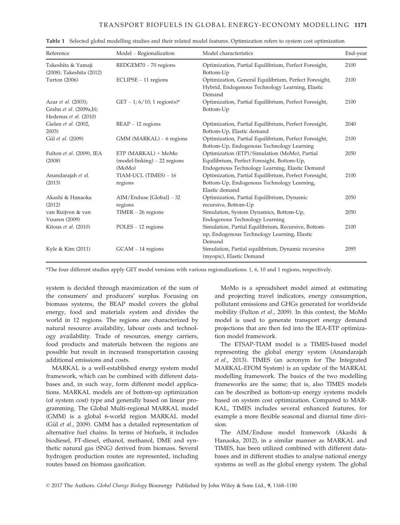| Reference                                                               | Model - Regionalization                                             | Model characteristics                                                                                                                         | End-year |
|-------------------------------------------------------------------------|---------------------------------------------------------------------|-----------------------------------------------------------------------------------------------------------------------------------------------|----------|
| Takeshita & Yamaji<br>(2008); Takeshita (2012)                          | $REDGEM70 - 70$ regions                                             | Optimization, Partial Equilibrium, Perfect Foresight,<br>Bottom-Up                                                                            | 2100     |
| Turton (2006)                                                           | $ECLIPSE - 11$ regions                                              | Optimization, General Equilibrium, Perfect Foresight,<br>Hybrid, Endogenous Technology Learning, Elastic<br>Demand                            | 2100     |
| Azar et al. (2003);<br>Grahn et al. (2009a,b);<br>Hedenus et al. (2010) | GET – 1; $6/10$ ; 1 region(s)*                                      | Optimization, Partial Equilibrium, Perfect Foresight,<br>Bottom-Up                                                                            | 2100     |
| Gielen et al. (2002,<br>2003)                                           | $BEAP - 12$ regions                                                 | Optimization, Partial Equilibrium, Perfect Foresight,<br>Bottom-Up, Elastic demand                                                            | 2040     |
| Gül et al. (2009)                                                       | $GMM$ (MARKAL) – 6 regions                                          | Optimization, Partial Equilibrium, Perfect Foresight,<br>Bottom-Up, Endogenous Technology Learning                                            | 2100     |
| Fulton et al. (2009), IEA<br>(2008)                                     | ETP (MARKAL) + MoMo<br>$(mod$ el-linking $)$ – 22 regions<br>(MoMo) | Optimization (ETP)/Simulation (MoMo), Partial<br>Equilibrium, Perfect Foresight, Bottom-Up,<br>Endogenous Technology Learning, Elastic Demand | 2050     |
| Anandarajah et al.<br>(2013)                                            | TIAM-UCL (TIMES) - 16<br>regions                                    | Optimization, Partial Equilibrium, Perfect Foresight,<br>Bottom-Up, Endogenous Technology Learning,<br>Elastic demand                         | 2100     |
| Akashi & Hanaoka<br>(2012)                                              | AIM/Enduse [Global] - 32<br>regions                                 | Optimization, Partial Equilibrium, Dynamic<br>recursive, Bottom-Up                                                                            | 2050     |
| van Ruijven & van<br>Vuuren (2009)                                      | $TIMER - 26$ regions                                                | Simulation, System Dynamics, Bottom-Up,<br>Endogenous Technology Learning                                                                     | 2050     |
| Kitous et al. (2010)                                                    | $POLES - 12$ regions                                                | Simulation, Partial Equilibrium, Recursive, Bottom-<br>up, Endogenous Technology Learning, Elastic<br>Demand                                  | 2100     |
| Kyle & Kim (2011)                                                       | $GCAM - 14$ regions                                                 | Simulation, Partial equilibrium, Dynamic recursive<br>(myopic), Elastic Demand                                                                | 2095     |

Table 1 Selected global modelling studies and their related model features. Optimization refers to system cost optimization

\*The four different studies apply GET model versions with various regionalizations: 1, 6, 10 and 1 regions, respectively.

system is decided through maximization of the sum of the consumers' and producers' surplus. Focusing on biomass systems, the BEAP model covers the global energy, food and materials system and divides the world in 12 regions. The regions are characterized by natural resource availability, labour costs and technology availability. Trade of resources, energy carriers, food products and materials between the regions are possible but result in increased transportation causing additional emissions and costs.

MARKAL is a well-established energy system model framework, which can be combined with different databases and, in such way, form different model applications. MARKAL models are of bottom-up optimization (of system cost) type and generally based on linear programming. The Global Multi-regional MARKAL model (GMM) is a global 6-world region MARKAL model (Gül et al., 2009). GMM has a detailed representation of alternative fuel chains. In terms of biofuels, it includes biodiesel, FT-diesel, ethanol, methanol, DME and synthetic natural gas (SNG) derived from biomass. Several hydrogen production routes are represented, including routes based on biomass gasification.

MoMo is a spreadsheet model aimed at estimating and projecting travel indicators, energy consumption, pollutant emissions and GHGs generated for worldwide mobility (Fulton et al., 2009). In this context, the MoMo model is used to generate transport energy demand projections that are then fed into the IEA-ETP optimization model framework.

The ETSAP-TIAM model is a TIMES-based model representing the global energy system (Anandarajah et al., 2013). TIMES (an acronym for The Integrated MARKAL-EFOM System) is an update of the MARKAL modelling framework. The basics of the two modelling frameworks are the same; that is, also TIMES models can be described as bottom-up energy systems models based on system cost optimization. Compared to MAR-KAL, TIMES includes several enhanced features, for example a more flexible seasonal and diurnal time division.

The AIM/Enduse model framework (Akashi & Hanaoka, 2012), in a similar manner as MARKAL and TIMES, has been utilized combined with different databases and in different studies to analyse national energy systems as well as the global energy system. The global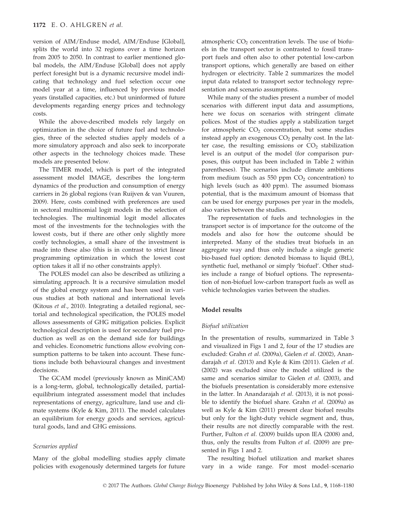version of AIM/Enduse model, AIM/Enduse [Global], splits the world into 32 regions over a time horizon from 2005 to 2050. In contrast to earlier mentioned global models, the AIM/Enduse [Global] does not apply perfect foresight but is a dynamic recursive model indicating that technology and fuel selection occur one model year at a time, influenced by previous model years (installed capacities, etc.) but uninformed of future developments regarding energy prices and technology costs.

While the above-described models rely largely on optimization in the choice of future fuel and technologies, three of the selected studies apply models of a more simulatory approach and also seek to incorporate other aspects in the technology choices made. These models are presented below.

The TIMER model, which is part of the integrated assessment model IMAGE, describes the long-term dynamics of the production and consumption of energy carriers in 26 global regions (van Ruijven & van Vuuren, 2009). Here, costs combined with preferences are used in sectoral multinomial logit models in the selection of technologies. The multinomial logit model allocates most of the investments for the technologies with the lowest costs, but if there are other only slightly more costly technologies, a small share of the investment is made into these also (this is in contrast to strict linear programming optimization in which the lowest cost option takes it all if no other constraints apply).

The POLES model can also be described as utilizing a simulating approach. It is a recursive simulation model of the global energy system and has been used in various studies at both national and international levels (Kitous et al., 2010). Integrating a detailed regional, sectorial and technological specification, the POLES model allows assessments of GHG mitigation policies. Explicit technological description is used for secondary fuel production as well as on the demand side for buildings and vehicles. Econometric functions allow evolving consumption patterns to be taken into account. These functions include both behavioural changes and investment decisions.

The GCAM model (previously known as MiniCAM) is a long-term, global, technologically detailed, partialequilibrium integrated assessment model that includes representations of energy, agriculture, land use and climate systems (Kyle & Kim, 2011). The model calculates an equilibrium for energy goods and services, agricultural goods, land and GHG emissions.

### Scenarios applied

Many of the global modelling studies apply climate policies with exogenously determined targets for future atmospheric  $CO<sub>2</sub>$  concentration levels. The use of biofuels in the transport sector is contrasted to fossil transport fuels and often also to other potential low-carbon transport options, which generally are based on either hydrogen or electricity. Table 2 summarizes the model input data related to transport sector technology representation and scenario assumptions.

While many of the studies present a number of model scenarios with different input data and assumptions, here we focus on scenarios with stringent climate polices. Most of the studies apply a stabilization target for atmospheric  $CO<sub>2</sub>$  concentration, but some studies instead apply an exogenous  $CO<sub>2</sub>$  penalty cost. In the latter case, the resulting emissions or  $CO<sub>2</sub>$  stabilization level is an output of the model (for comparison purposes, this output has been included in Table 2 within parentheses). The scenarios include climate ambitions from medium (such as  $550$  ppm  $CO<sub>2</sub>$  concentration) to high levels (such as 400 ppm). The assumed biomass potential, that is the maximum amount of biomass that can be used for energy purposes per year in the models, also varies between the studies.

The representation of fuels and technologies in the transport sector is of importance for the outcome of the models and also for how the outcome should be interpreted. Many of the studies treat biofuels in an aggregate way and thus only include a single generic bio-based fuel option: denoted biomass to liquid (BtL), synthetic fuel, methanol or simply 'biofuel'. Other studies include a range of biofuel options. The representation of non-biofuel low-carbon transport fuels as well as vehicle technologies varies between the studies.

### Model results

#### Biofuel utilization

In the presentation of results, summarized in Table 3 and visualized in Figs 1 and 2, four of the 17 studies are excluded: Grahn et al. (2009a), Gielen et al. (2002), Anandarajah et al. (2013) and Kyle & Kim (2011). Gielen et al. (2002) was excluded since the model utilized is the same and scenarios similar to Gielen et al. (2003), and the biofuels presentation is considerably more extensive in the latter. In Anandarajah et al. (2013), it is not possible to identify the biofuel share. Grahn et al. (2009a) as well as Kyle & Kim (2011) present clear biofuel results but only for the light-duty vehicle segment and, thus, their results are not directly comparable with the rest. Further, Fulton et al. (2009) builds upon IEA (2008) and, thus, only the results from Fulton et al. (2009) are presented in Figs 1 and 2.

The resulting biofuel utilization and market shares vary in a wide range. For most model–scenario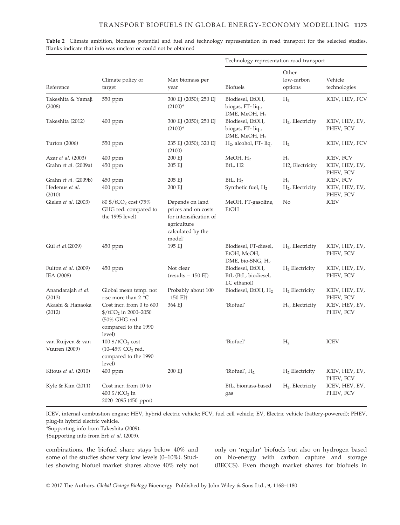|                                    |                                                                                                                         | Max biomass per<br>year                                                                                       | Technology representation road transport                    |                                |                             |
|------------------------------------|-------------------------------------------------------------------------------------------------------------------------|---------------------------------------------------------------------------------------------------------------|-------------------------------------------------------------|--------------------------------|-----------------------------|
| Reference                          | Climate policy or<br>target                                                                                             |                                                                                                               | <b>Biofuels</b>                                             | Other<br>low-carbon<br>options | Vehicle<br>technologies     |
| Takeshita & Yamaji<br>(2008)       | 550 ppm                                                                                                                 | 300 EJ (2050); 250 EJ<br>$(2100)*$                                                                            | Biodiesel, EtOH,<br>biogas, FT-liq.,<br>DME, MeOH, $H2$     | H <sub>2</sub>                 | ICEV, HEV, FCV              |
| Takeshita (2012)                   | $400$ ppm                                                                                                               | 300 EJ (2050); 250 EJ<br>$(2100)*$                                                                            | Biodiesel, EtOH,<br>biogas, FT-liq.,<br>DME, MeOH, $H_2$    | $H_2$ , Electricity            | ICEV, HEV, EV,<br>PHEV, FCV |
| Turton (2006)                      | 550 ppm                                                                                                                 | 235 EJ (2050); 320 EJ<br>(2100)                                                                               | $H2$ , alcohol, FT- liq.                                    | H <sub>2</sub>                 | ICEV, HEV, FCV              |
| Azar et al. (2003)                 | $400$ ppm                                                                                                               | 200 EJ                                                                                                        | MeOH, H <sub>2</sub>                                        | H <sub>2</sub>                 | ICEV, FCV                   |
| Grahn et al. (2009a)               | $450$ ppm                                                                                                               | 205 EJ                                                                                                        | B <sub>tL</sub> , H <sub>2</sub>                            | H2, Electricity                | ICEV, HEV, EV,<br>PHEV, FCV |
| Grahn et al. (2009b)               | $450$ ppm                                                                                                               | 205 EJ                                                                                                        | BtL, H <sub>2</sub>                                         | H <sub>2</sub>                 | ICEV, FCV                   |
| Hedenus et al.<br>(2010)           | 400 ppm                                                                                                                 | 200 EJ                                                                                                        | Synthetic fuel, $H_2$                                       | $H2$ , Electricity             | ICEV, HEV, EV,<br>PHEV, FCV |
| Gielen et al. (2003)               | $80\frac{\text{C}}{\text{C}}$ (75%)<br>GHG red. compared to<br>the 1995 level)                                          | Depends on land<br>prices and on costs<br>for intensification of<br>agriculture<br>calculated by the<br>model | MeOH, FT-gasoline,<br>EtOH                                  | No                             | <b>ICEV</b>                 |
| Gül et al.(2009)                   | $450$ ppm                                                                                                               | 195 EJ                                                                                                        | Biodiesel, FT-diesel,<br>EtOH, MeOH,<br>DME, bio-SNG, $H_2$ | $H2$ , Electricity             | ICEV, HEV, EV,<br>PHEV, FCV |
| Fulton et al. (2009)<br>IEA (2008) | $450$ ppm                                                                                                               | Not clear<br>$(results = 150 EJ)$                                                                             | Biodiesel, EtOH,<br>BtL (BtL, biodiesel,<br>LC ethanol)     | $H_2$ Electricity              | ICEV, HEV, EV,<br>PHEV, FCV |
| Anandarajah et al.<br>(2013)       | Global mean temp. not<br>rise more than $2^{\circ}C$                                                                    | Probably about 100<br>$-150$ EJ†                                                                              | Biodiesel, EtOH, H <sub>2</sub>                             | $H_2$ Electricity              | ICEV, HEV, EV,<br>PHEV, FCV |
| Akashi & Hanaoka<br>(2012)         | Cost incr. from 0 to 600<br>$\frac{\frac{6}{3}}{1CO_2}$ in 2000–2050<br>(50% GHG red.<br>compared to the 1990<br>level) | 364 EJ                                                                                                        | 'Biofuel'                                                   | $H2$ , Electricity             | ICEV, HEV, EV,<br>PHEV, FCV |
| van Ruijven & van<br>Vuuren (2009) | $100\frac{\text{g}}{\text{tCO}_2}$ cost<br>$(10-45\%$ CO <sub>2</sub> red.<br>compared to the 1990<br>level)            |                                                                                                               | 'Biofuel'                                                   | H <sub>2</sub>                 | <b>ICEV</b>                 |
| Kitous et al. (2010)               | $400$ ppm                                                                                                               | 200 EJ                                                                                                        | 'Biofuel', $H_2$                                            | $H_2$ Electricity              | ICEV, HEV, EV,<br>PHEV, FCV |
| Kyle & Kim (2011)                  | Cost incr. from 10 to<br>400 $\frac{\text{C}}{\text{C}}$ in<br>2020-2095 (450 ppm)                                      |                                                                                                               | BtL, biomass-based<br>gas                                   | $H2$ , Electricity             | ICEV, HEV, EV,<br>PHEV, FCV |

Table 2 Climate ambition, biomass potential and fuel and technology representation in road transport for the selected studies. Blanks indicate that info was unclear or could not be obtained

ICEV, internal combustion engine; HEV, hybrid electric vehicle; FCV, fuel cell vehicle; EV, Electric vehicle (battery-powered); PHEV, plug-in hybrid electric vehicle.

\*Supporting info from Takeshita (2009).

†Supporting info from Erb et al. (2009).

combinations, the biofuel share stays below 40% and some of the studies show very low levels (0–10%). Studies showing biofuel market shares above 40% rely not only on 'regular' biofuels but also on hydrogen based on bio-energy with carbon capture and storage (BECCS). Even though market shares for biofuels in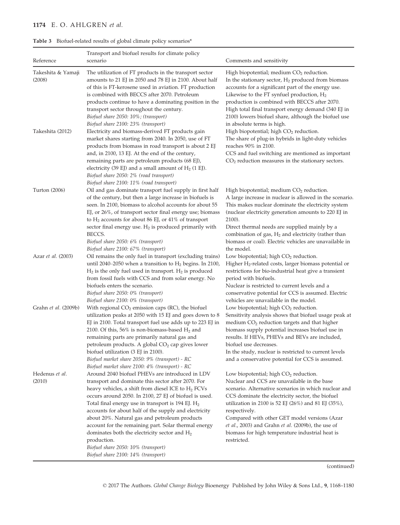# 1174 E. O. AHLGREN et al.

| Reference                    | Transport and biofuel results for climate policy<br>scenario                                                                                                                                                                                                                                                                                                                                                                                                                                                                                                                                         | Comments and sensitivity                                                                                                                                                                                                                                                                                                                                                                                                                           |
|------------------------------|------------------------------------------------------------------------------------------------------------------------------------------------------------------------------------------------------------------------------------------------------------------------------------------------------------------------------------------------------------------------------------------------------------------------------------------------------------------------------------------------------------------------------------------------------------------------------------------------------|----------------------------------------------------------------------------------------------------------------------------------------------------------------------------------------------------------------------------------------------------------------------------------------------------------------------------------------------------------------------------------------------------------------------------------------------------|
|                              |                                                                                                                                                                                                                                                                                                                                                                                                                                                                                                                                                                                                      |                                                                                                                                                                                                                                                                                                                                                                                                                                                    |
| Takeshita & Yamaji<br>(2008) | The utilization of FT products in the transport sector<br>amounts to 21 EJ in 2050 and 78 EJ in 2100. About half<br>of this is FT-kerosene used in aviation. FT production<br>is combined with BECCS after 2070. Petroleum<br>products continue to have a dominating position in the<br>transport sector throughout the century.<br>Biofuel share 2050: 10%; (transport)<br>Biofuel share 2100: 23% (transport)                                                                                                                                                                                      | High biopotential; medium $CO2$ reduction.<br>In the stationary sector, $H_2$ produced from biomass<br>accounts for a significant part of the energy use.<br>Likewise to the FT synfuel production, $H_2$<br>production is combined with BECCS after 2070.<br>High total final transport energy demand (340 EJ in<br>2100) lowers biofuel share, although the biofuel use<br>in absolute terms is high.                                            |
| Takeshita (2012)             | Electricity and biomass-derived FT products gain<br>market shares starting from 2040. In 2050, use of FT<br>products from biomass in road transport is about 2 EJ<br>and, in 2100, 13 EJ. At the end of the century,<br>remaining parts are petroleum products (68 EJ),<br>electricity (39 EJ) and a small amount of $H_2$ (1 EJ).<br>Biofuel share 2050: 2% (road transport)<br>Biofuel share 2100: 11% (road transport)                                                                                                                                                                            | High biopotential; high CO <sub>2</sub> reduction.<br>The share of plug-in hybrids in light-duty vehicles<br>reaches 90% in 2100.<br>CCS and fuel switching are mentioned as important<br>$CO2$ reduction measures in the stationary sectors.                                                                                                                                                                                                      |
| Turton (2006)                | Oil and gas dominate transport fuel supply in first half<br>of the century, but then a large increase in biofuels is<br>seen. In 2100, biomass to alcohol accounts for about 55<br>EJ, or 26%, of transport sector final energy use; biomass<br>to $H_2$ accounts for about 86 EJ, or 41% of transport<br>sector final energy use. $H_2$ is produced primarily with<br>BECCS.<br>Biofuel share 2050: 6% (transport)<br>Biofuel share 2100: 67% (transport)                                                                                                                                           | High biopotential; medium $CO2$ reduction.<br>A large increase in nuclear is allowed in the scenario.<br>This makes nuclear dominate the electricity system<br>(nuclear electricity generation amounts to 220 EJ in<br>2100).<br>Direct thermal needs are supplied mainly by a<br>combination of gas, H <sub>2</sub> and electricity (rather than<br>biomass or coal). Electric vehicles are unavailable in<br>the model.                          |
| Azar et al. (2003)           | Oil remains the only fuel in transport (excluding trains)<br>until 2040–2050 when a transition to $H_2$ begins. In 2100,<br>$H_2$ is the only fuel used in transport. $H_2$ is produced<br>from fossil fuels with CCS and from solar energy. No<br>biofuels enters the scenario.<br>Biofuel share 2050: 0% (transport)<br>Biofuel share 2100: 0% (transport)                                                                                                                                                                                                                                         | Low biopotential; high $CO2$ reduction.<br>Higher $H_2$ -related costs, larger biomass potential or<br>restrictions for bio-industrial heat give a transient<br>period with biofuels.<br>Nuclear is restricted to current levels and a<br>conservative potential for CCS is assumed. Electric<br>vehicles are unavailable in the model.                                                                                                            |
| Grahn et al. (2009b)         | With regional CO <sub>2</sub> emission caps (RC), the biofuel<br>utilization peaks at 2050 with 15 EJ and goes down to 8<br>EJ in 2100. Total transport fuel use adds up to 223 EJ in<br>2100. Of this, 56% is non-biomass-based $H_2$ and<br>remaining parts are primarily natural gas and<br>petroleum products. A global CO <sub>2</sub> cap gives lower<br>biofuel utilization (3 EJ in 2100).<br>Biofuel market share 2050: 9% (transport) - RC<br>Biofuel market share 2100: 4% (transport) - RC                                                                                               | Low biopotential; high $CO2$ reduction.<br>Sensitivity analysis shows that biofuel usage peak at<br>medium CO <sub>2</sub> reduction targets and that higher<br>biomass supply potential increases biofuel use in<br>results. If HEVs, PHEVs and BEVs are included,<br>biofuel use decreases.<br>In the study, nuclear is restricted to current levels<br>and a conservative potential for CCS is assumed.                                         |
| Hedenus et al.<br>(2010)     | Around 2040 biofuel PHEVs are introduced in LDV<br>transport and dominate this sector after 2070. For<br>heavy vehicles, a shift from diesel ICE to $H_2$ FCVs<br>occurs around 2050. In 2100, 27 EJ of biofuel is used.<br>Total final energy use in transport is $194$ EJ. $H_2$<br>accounts for about half of the supply and electricity<br>about 20%. Natural gas and petroleum products<br>account for the remaining part. Solar thermal energy<br>dominates both the electricity sector and $H_2$<br>production.<br>Biofuel share 2050: 10% (transport)<br>Biofuel share 2100: 14% (transport) | Low biopotential; high $CO2$ reduction.<br>Nuclear and CCS are unavailable in the base<br>scenario. Alternative scenarios in which nuclear and<br>CCS dominate the electricity sector, the biofuel<br>utilization in 2100 is 52 EJ (26%) and 81 EJ (35%),<br>respectively.<br>Compared with other GET model versions (Azar<br>et al., 2003) and Grahn et al. (2009b), the use of<br>biomass for high temperature industrial heat is<br>restricted. |

(continued)

© 2017 The Authors. Global Change Biology Bioenergy Published by John Wiley & Sons Ltd., 9, 1168–1180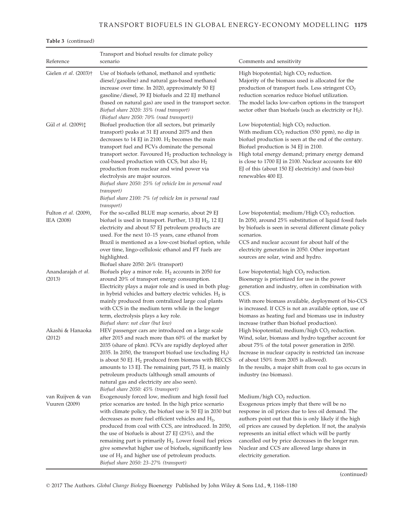# TRANSPORT BIOFUELS IN GLOBAL ENERGY-ECONOMY MODELLING 1175

## Table 3 (continued)

| Reference                           | Transport and biofuel results for climate policy<br>scenario                                                                                                                                                                                                                                                                                                                                                                                                                                                                                                                          | Comments and sensitivity                                                                                                                                                                                                                                                                                                                                                                                                                                 |
|-------------------------------------|---------------------------------------------------------------------------------------------------------------------------------------------------------------------------------------------------------------------------------------------------------------------------------------------------------------------------------------------------------------------------------------------------------------------------------------------------------------------------------------------------------------------------------------------------------------------------------------|----------------------------------------------------------------------------------------------------------------------------------------------------------------------------------------------------------------------------------------------------------------------------------------------------------------------------------------------------------------------------------------------------------------------------------------------------------|
| Gielen et al. (2003)†               | Use of biofuels (ethanol, methanol and synthetic<br>diesel/gasoline) and natural gas-based methanol<br>increase over time. In 2020, approximately 50 EJ<br>gasoline/diesel, 39 EJ biofuels and 22 EJ methanol<br>(based on natural gas) are used in the transport sector.<br>Biofuel share 2020: 35% (road transport)<br>(Biofuel share 2050: 70% (road transport))                                                                                                                                                                                                                   | High biopotential; high $CO2$ reduction.<br>Majority of the biomass used is allocated for the<br>production of transport fuels. Less stringent CO <sub>2</sub><br>reduction scenarios reduce biofuel utilization.<br>The model lacks low-carbon options in the transport<br>sector other than biofuels (such as electricity or $H_2$ ).                                                                                                                  |
| Gül et al. (2009) $\ddagger$        | Biofuel production (for all sectors, but primarily<br>transport) peaks at 31 EJ around 2075 and then<br>decreases to 14 EJ in 2100. $H_2$ becomes the main<br>transport fuel and FCVs dominate the personal<br>transport sector. Favoured $H_2$ production technology is<br>coal-based production with CCS, but also H <sub>2</sub><br>production from nuclear and wind power via<br>electrolysis are major sources.<br>Biofuel share 2050: 25% (of vehicle km in personal road<br><i>transport</i> )<br>Biofuel share 2100: 7% (of vehicle km in personal road<br><i>transport</i> ) | Low biopotential; high CO <sub>2</sub> reduction.<br>With medium $CO2$ reduction (550 ppm), no dip in<br>biofuel production is seen at the end of the century.<br>Biofuel production is 34 EJ in 2100.<br>High total energy demand; primary energy demand<br>is close to 1700 EJ in 2100. Nuclear accounts for 400<br>EJ of this (about 150 EJ electricity) and (non-bio)<br>renewables 400 EJ.                                                          |
| Fulton et al. (2009),<br>IEA (2008) | For the so-called BLUE map scenario, about 29 EJ<br>biofuel is used in transport. Further, 13 EJ $H_2$ , 12 EJ<br>electricity and about 57 EJ petroleum products are<br>used. For the next 10-15 years, cane ethanol from<br>Brazil is mentioned as a low-cost biofuel option, while<br>over time, lingo-cellulosic ethanol and FT fuels are<br>highlighted.                                                                                                                                                                                                                          | Low biopotential; medium/High $CO2$ reduction.<br>In 2050, around 25% substitution of liquid fossil fuels<br>by biofuels is seen in several different climate policy<br>scenarios.<br>CCS and nuclear account for about half of the<br>electricity generation in 2050. Other important<br>sources are solar, wind and hydro.                                                                                                                             |
| Anandarajah et al.<br>(2013)        | Biofuel share 2050: 26% (transport)<br>Biofuels play a minor role. $H_2$ accounts in 2050 for<br>around 20% of transport energy consumption.<br>Electricity plays a major role and is used in both plug-<br>in hybrid vehicles and battery electric vehicles. $H_2$ is<br>mainly produced from centralized large coal plants<br>with CCS in the medium term while in the longer<br>term, electrolysis plays a key role.<br>Biofuel share: not clear (but low)                                                                                                                         | Low biopotential; high $CO2$ reduction.<br>Bioenergy is prioritized for use in the power<br>generation and industry, often in combination with<br>CCS.<br>With more biomass available, deployment of bio-CCS<br>is increased. If CCS is not an available option, use of<br>biomass as heating fuel and biomass use in industry<br>increase (rather than biofuel production).                                                                             |
| Akashi & Hanaoka<br>(2012)          | HEV passenger cars are introduced on a large scale<br>after 2015 and reach more than 60% of the market by<br>2035 (share of pkm). FCVs are rapidly deployed after<br>2035. In 2050, the transport biofuel use (excluding $H_2$ )<br>is about 50 EJ. $H_2$ produced from biomass with BECCS<br>amounts to 13 EJ. The remaining part, 75 EJ, is mainly<br>petroleum products (although small amounts of<br>natural gas and electricity are also seen).<br>Biofuel share 2050: 45% (transport)                                                                                           | High biopotential; medium/high CO <sub>2</sub> reduction.<br>Wind, solar, biomass and hydro together account for<br>about 75% of the total power generation in 2050.<br>Increase in nuclear capacity is restricted (an increase<br>of about 150% from 2005 is allowed).<br>In the results, a major shift from coal to gas occurs in<br>industry (no biomass).                                                                                            |
| van Ruijven & van<br>Vuuren (2009)  | Exogenously forced low, medium and high fossil fuel<br>price scenarios are tested. In the high price scenario<br>with climate policy, the biofuel use is 50 EJ in 2030 but<br>decreases as more fuel efficient vehicles and $H_2$ ,<br>produced from coal with CCS, are introduced. In 2050,<br>the use of biofuels is about $27$ EJ $(23\%)$ , and the<br>remaining part is primarily $H_2$ . Lower fossil fuel prices<br>give somewhat higher use of biofuels, significantly less<br>use of $H_2$ and higher use of petroleum products.<br>Biofuel share 2050: 23-27% (transport)   | Medium/high CO <sub>2</sub> reduction.<br>Exogenous prices imply that there will be no<br>response in oil prices due to less oil demand. The<br>authors point out that this is only likely if the high<br>oil prices are caused by depletion. If not, the analysis<br>represents an initial effect which will be partly<br>cancelled out by price decreases in the longer run.<br>Nuclear and CCS are allowed large shares in<br>electricity generation. |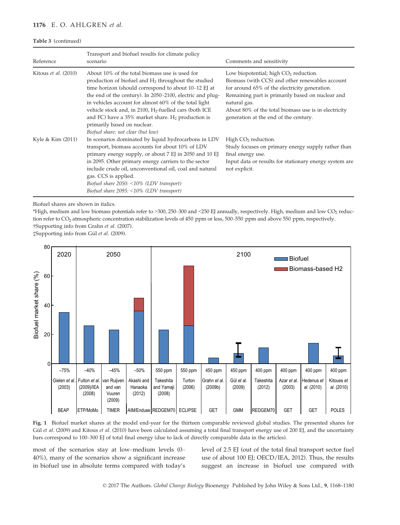### 1176 E. O. AHLGREN et al.

### Table 3 (continued)

| Reference            | Transport and biofuel results for climate policy<br>scenario                                                                                                                                                                                                                                                                                                                                                                                                                                 | Comments and sensitivity                                                                                                                                                                                                                                                                                         |
|----------------------|----------------------------------------------------------------------------------------------------------------------------------------------------------------------------------------------------------------------------------------------------------------------------------------------------------------------------------------------------------------------------------------------------------------------------------------------------------------------------------------------|------------------------------------------------------------------------------------------------------------------------------------------------------------------------------------------------------------------------------------------------------------------------------------------------------------------|
| Kitous et al. (2010) | About 10% of the total biomass use is used for<br>production of biofuel and $H_2$ throughout the studied<br>time horizon (should correspond to about 10–12 EJ at<br>the end of the century). In 2050-2100, electric and plug-<br>in vehicles account for almost 60% of the total light<br>vehicle stock and, in 2100, $H_2$ -fuelled cars (both ICE<br>and FC) have a $35\%$ market share. H <sub>2</sub> production is<br>primarily based on nuclear.<br>Biofuel share: not clear (but low) | Low biopotential; high $CO2$ reduction.<br>Biomass (with CCS) and other renewables account<br>for around 65% of the electricity generation.<br>Remaining part is primarily based on nuclear and<br>natural gas.<br>About 80% of the total biomass use is in electricity<br>generation at the end of the century. |
| Kyle & Kim (2011)    | In scenarios dominated by liquid hydrocarbons in LDV<br>transport, biomass accounts for about 10% of LDV<br>primary energy supply, or about 7 EJ in 2050 and 10 EJ<br>in 2095. Other primary energy carriers to the sector<br>include crude oil, unconventional oil, coal and natural<br>gas. CCS is applied.<br>Biofuel share $2050: \le 10\%$ (LDV transport)<br>Biofuel share $2095: \le 10\%$ (LDV transport)                                                                            | High CO <sub>2</sub> reduction.<br>Study focuses on primary energy supply rather than<br>final energy use.<br>Input data or results for stationary energy system are<br>not explicit.                                                                                                                            |

Biofuel shares are shown in italics.

\*High, medium and low biomass potentials refer to >300, 250–300 and <250 EJ annually, respectively. High, medium and low CO2 reduction refer to  $CO<sub>2</sub>$  atmospheric concentration stabilization levels of 450 ppm or less, 500–550 ppm and above 550 ppm, respectively. †Supporting info from Grahn et al. (2007).

‡Supporting info from Gül et al. (2009).



Fig. 1 Biofuel market shares at the model end-year for the thirteen comparable reviewed global studies. The presented shares for Gül et al. (2009) and Kitous et al. (2010) have been calculated assuming a total final transport energy use of 200 EJ, and the uncertainty bars correspond to 100–300 EJ of total final energy (due to lack of directly comparable data in the articles).

most of the scenarios stay at low–medium levels (0– 40%), many of the scenarios show a significant increase in biofuel use in absolute terms compared with today's level of 2.5 EJ (out of the total final transport sector fuel use of about 100 EJ; OECD/IEA, 2012). Thus, the results suggest an increase in biofuel use compared with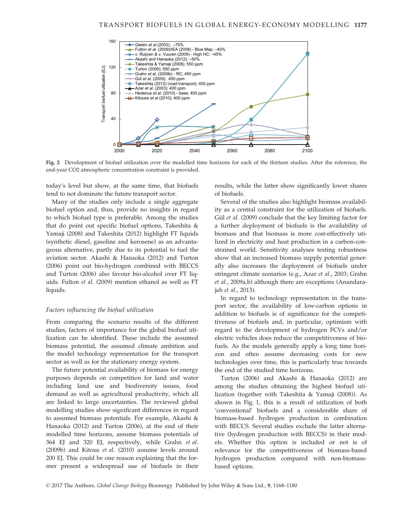

Fig. 2 Development of biofuel utilization over the modelled time horizons for each of the thirteen studies. After the reference, the end-year CO2 atmospheric concentration constraint is provided.

today's level but show, at the same time, that biofuels tend to not dominate the future transport sector.

Many of the studies only include a single aggregate biofuel option and, thus, provide no insights in regard to which biofuel type is preferable. Among the studies that do point out specific biofuel options, Takeshita & Yamaji (2008) and Takeshita (2012) highlight FT liquids (synthetic diesel, gasoline and kerosene) as an advantageous alternative, partly due to its potential to fuel the aviation sector. Akashi & Hanaoka (2012) and Turton (2006) point out bio-hydrogen combined with BECCS and Turton (2006) also favour bio-alcohol over FT liquids. Fulton et al. (2009) mention ethanol as well as FT liquids.

### Factors influencing the biofuel utilization

From comparing the scenario results of the different studies, factors of importance for the global biofuel utilization can be identified. These include the assumed biomass potential, the assumed climate ambition and the model technology representation for the transport sector as well as for the stationary energy system.

The future potential availability of biomass for energy purposes depends on competition for land and water including land use and biodiversity issues, food demand as well as agricultural productivity, which all are linked to large uncertainties. The reviewed global modelling studies show significant differences in regard to assumed biomass potentials. For example, Akashi & Hanaoka (2012) and Turton (2006), at the end of their modelled time horizons, assume biomass potentials of 364 EJ and 320 EJ, respectively, while Grahn et al. (2009b) and Kitous et al. (2010) assume levels around 200 EJ. This could be one reason explaining that the former present a widespread use of biofuels in their results, while the latter show significantly lower shares of biofuels.

Several of the studies also highlight biomass availability as a central constraint for the utilization of biofuels. Gül et al. (2009) conclude that the key limiting factor for a further deployment of biofuels is the availability of biomass and that biomass is more cost-effectively utilized in electricity and heat production in a carbon-constrained world. Sensitivity analyses testing robustness show that an increased biomass supply potential generally also increases the deployment of biofuels under stringent climate scenarios (e.g., Azar et al., 2003; Grahn et al., 2009a,b) although there are exceptions (Anandarajah et al., 2013).

In regard to technology representation in the transport sector, the availability of low-carbon options in addition to biofuels is of significance for the competitiveness of biofuels and, in particular, optimism with regard to the development of hydrogen FCVs and/or electric vehicles does reduce the competitiveness of biofuels. As the models generally apply a long time horizon and often assume decreasing costs for new technologies over time, this is particularly true towards the end of the studied time horizons.

Turton (2006) and Akashi & Hanaoka (2012) are among the studies obtaining the highest biofuel utilization (together with Takeshita & Yamaji (2008)). As shown in Fig. 1, this is a result of utilization of both 'conventional' biofuels and a considerable share of biomass-based hydrogen production in combination with BECCS. Several studies exclude the latter alternative (hydrogen production with BECCS) in their models. Whether this option is included or not is of relevance for the competitiveness of biomass-based hydrogen production compared with non-biomassbased options.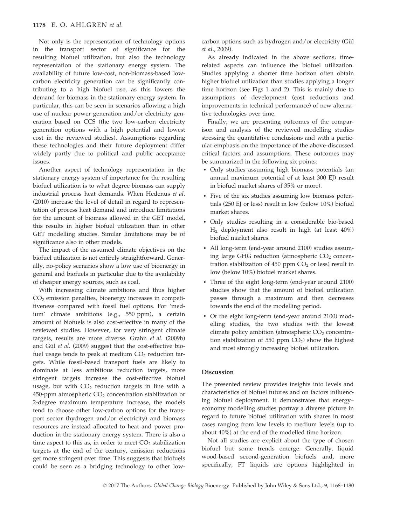Not only is the representation of technology options in the transport sector of significance for the resulting biofuel utilization, but also the technology representation of the stationary energy system. The availability of future low-cost, non-biomass-based lowcarbon electricity generation can be significantly contributing to a high biofuel use, as this lowers the demand for biomass in the stationary energy system. In particular, this can be seen in scenarios allowing a high use of nuclear power generation and/or electricity generation based on CCS (the two low-carbon electricity generation options with a high potential and lowest cost in the reviewed studies). Assumptions regarding these technologies and their future deployment differ widely partly due to political and public acceptance issues.

Another aspect of technology representation in the stationary energy system of importance for the resulting biofuel utilization is to what degree biomass can supply industrial process heat demands. When Hedenus et al. (2010) increase the level of detail in regard to representation of process heat demand and introduce limitations for the amount of biomass allowed in the GET model, this results in higher biofuel utilization than in other GET modelling studies. Similar limitations may be of significance also in other models.

The impact of the assumed climate objectives on the biofuel utilization is not entirely straightforward. Generally, no-policy scenarios show a low use of bioenergy in general and biofuels in particular due to the availability of cheaper energy sources, such as coal.

With increasing climate ambitions and thus higher  $CO<sub>2</sub>$  emission penalties, bioenergy increases in competitiveness compared with fossil fuel options. For 'medium' climate ambitions (e.g., 550 ppm), a certain amount of biofuels is also cost-effective in many of the reviewed studies. However, for very stringent climate targets, results are more diverse. Grahn et al. (2009b) and Gül et al. (2009) suggest that the cost-effective biofuel usage tends to peak at medium  $CO<sub>2</sub>$  reduction targets. While fossil-based transport fuels are likely to dominate at less ambitious reduction targets, more stringent targets increase the cost-effective biofuel usage, but with  $CO<sub>2</sub>$  reduction targets in line with a 450-ppm atmospheric  $CO<sub>2</sub>$  concentration stabilization or 2-degree maximum temperature increase, the models tend to choose other low-carbon options for the transport sector (hydrogen and/or electricity) and biomass resources are instead allocated to heat and power production in the stationary energy system. There is also a time aspect to this as, in order to meet  $CO<sub>2</sub>$  stabilization targets at the end of the century, emission reductions get more stringent over time. This suggests that biofuels could be seen as a bridging technology to other low $carbon$  options such as hydrogen and/or electricity (Gül et al., 2009).

As already indicated in the above sections, timerelated aspects can influence the biofuel utilization. Studies applying a shorter time horizon often obtain higher biofuel utilization than studies applying a longer time horizon (see Figs 1 and 2). This is mainly due to assumptions of development (cost reductions and improvements in technical performance) of new alternative technologies over time.

Finally, we are presenting outcomes of the comparison and analysis of the reviewed modelling studies stressing the quantitative conclusions and with a particular emphasis on the importance of the above-discussed critical factors and assumptions. These outcomes may be summarized in the following six points:

- Only studies assuming high biomass potentials (an annual maximum potential of at least 300 EJ) result in biofuel market shares of 35% or more).
- Five of the six studies assuming low biomass potentials (250 EJ or less) result in low (below 10%) biofuel market shares.
- Only studies resulting in a considerable bio-based H2 deployment also result in high (at least 40%) biofuel market shares.
- All long-term (end-year around 2100) studies assuming large GHG reduction (atmospheric  $CO<sub>2</sub>$  concentration stabilization of  $450$  ppm  $CO<sub>2</sub>$  or less) result in low (below 10%) biofuel market shares.
- Three of the eight long-term (end-year around 2100) studies show that the amount of biofuel utilization passes through a maximum and then decreases towards the end of the modelling period.
- Of the eight long-term (end-year around 2100) modelling studies, the two studies with the lowest climate policy ambition (atmospheric  $CO<sub>2</sub>$  concentration stabilization of 550 ppm  $CO<sub>2</sub>$ ) show the highest and most strongly increasing biofuel utilization.

### Discussion

The presented review provides insights into levels and characteristics of biofuel futures and on factors influencing biofuel deployment. It demonstrates that energy– economy modelling studies portray a diverse picture in regard to future biofuel utilization with shares in most cases ranging from low levels to medium levels (up to about 40%) at the end of the modelled time horizon.

Not all studies are explicit about the type of chosen biofuel but some trends emerge. Generally, liquid wood-based second-generation biofuels and, more specifically, FT liquids are options highlighted in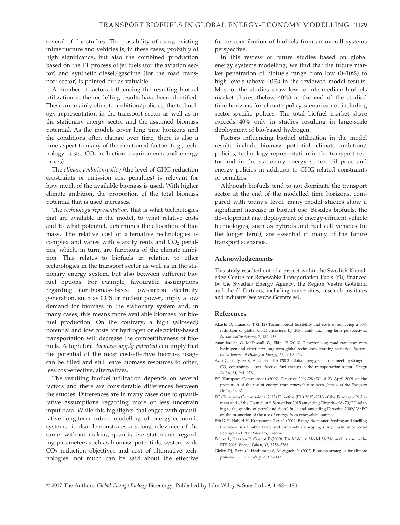several of the studies. The possibility of using existing infrastructure and vehicles is, in these cases, probably of high significance, but also the combined production based on the FT process of jet fuels (for the aviation sector) and synthetic diesel/gasoline (for the road transport sector) is pointed out as valuable.

A number of factors influencing the resulting biofuel utilization in the modelling results have been identified. These are mainly climate ambition/policies, the technology representation in the transport sector as well as in the stationary energy sector and the assumed biomass potential. As the models cover long time horizons and the conditions often change over time, there is also a time aspect to many of the mentioned factors (e.g., technology costs,  $CO<sub>2</sub>$  reduction requirements and energy prices).

The climate ambition/policy (the level of GHG reduction constraints or emission cost penalties) is relevant for how much of the available biomass is used. With higher climate ambition, the proportion of the total biomass potential that is used increases.

The technology representation, that is what technologies that are available in the model, to what relative costs and to what potential, determines the allocation of biomass. The relative cost of alternative technologies is complex and varies with scarcity rents and  $CO<sub>2</sub>$  penalties, which, in turn, are functions of the climate ambition. This relates to biofuels in relation to other technologies in the transport sector as well as in the stationary energy system, but also between different biofuel options. For example, favourable assumptions regarding non-biomass-based low-carbon electricity generation, such as CCS or nuclear power, imply a low demand for biomass in the stationary system and, in many cases, this means more available biomass for biofuel production. On the contrary, a high (allowed) potential and low costs for hydrogen or electricity-based transportation will decrease the competitiveness of biofuels. A high total biomass supply potential can imply that the potential of the most cost-effective biomass usage can be filled and still leave biomass resources to other, less cost-effective, alternatives.

The resulting biofuel utilization depends on several factors and there are considerable differences between the studies. Differences are in many cases due to quantitative assumptions regarding more or less uncertain input data. While this highlights challenges with quantitative long-term future modelling of energy-economic systems, it also demonstrates a strong relevance of the same: without making quantitative statements regarding parameters such as biomass potentials, system-wide CO2 reduction objectives and cost of alternative technologies, not much can be said about the effective future contribution of biofuels from an overall systems perspective.

In this review of future studies based on global energy systems modelling, we find that the future market penetration of biofuels range from low (0–10%) to high levels (above 40%) in the reviewed model results. Most of the studies show low to intermediate biofuels market shares (below 40%) at the end of the studied time horizons for climate policy scenarios not including sector-specific polices. The total biofuel market share exceeds 40% only in studies resulting in large-scale deployment of bio-based hydrogen.

Factors influencing biofuel utilization in the model results include biomass potential, climate ambition/ policies, technology representation in the transport sector and in the stationary energy sector, oil price and energy policies in addition to GHG-related constraints or penalties.

Although biofuels tend to not dominate the transport sector at the end of the modelled time horizons, compared with today's level, many model studies show a significant increase in biofuel use. Besides biofuels, the development and deployment of energy-efficient vehicle technologies, such as hybrids and fuel cell vehicles (in the longer term), are essential in many of the future transport scenarios.

### Acknowledgements

This study resulted out of a project within the Swedish Knowledge Centre for Renewable Transportation Fuels (f3), financed by the Swedish Energy Agency, the Region Västra Götaland and the f3 Partners, including universities, research institutes and industry (see [www.f3centre.se](http://www.f3centre.se)).

#### References

- Akashi O, Hanaoka T (2012) Technological feasibility and costs of achieving a 50% reduction of global GHG emissions by 2050: mid- and long-term perspectives. Sustainability Science, 7, 139–156.
- Anandarajah G, McDowall W, Ekins P (2013) Decarbonising road transport with hydrogen and electricity: long term global technology learning scenarios. International Journal of Hydrogen Energy, 38, 3419–3432.
- Azar C, Lindgren K, Andersson BA (2003) Global energy scenarios meeting stringent CO2 constraints— cost-effective fuel choices in the transportation sector. Energy Policy, 31, 961–976.
- EC (European Commission) (2009) Directive 2009/28/EC of 23 April 2009 on the promotion of the use of energy from renewable sources. Journal of the European Union, 16–62.
- EC (European Commission) (2015) Directive (EU) 2015/1513 of the European Parliament and of the Council of 9 September 2015 amending Directive 98/70/EC relating to the quality of petrol and diesel fuels and amending Directive 2009/28/EC on the promotion of the use of energy from renewable sources.
- Erb K-H, Haberl H, Krausmann F et al. (2009) Eating the planet: feeding and fuelling the world sustainably, fairly and humanely - a scoping study. Institute of Social Ecology and PIK Potsdam, Vienna.
- Fulton L, Cazzola P, Cuenot F (2009) IEA Mobility Model MoMo and its use in the ETP 2008. Energy Policy, 37, 3758–3768.
- Gielen DJ, Fujino J, Hashimoto S, Moriguchi Y (2002) Biomass strategies for climate policies? Climate Policy, 2, 319–333.